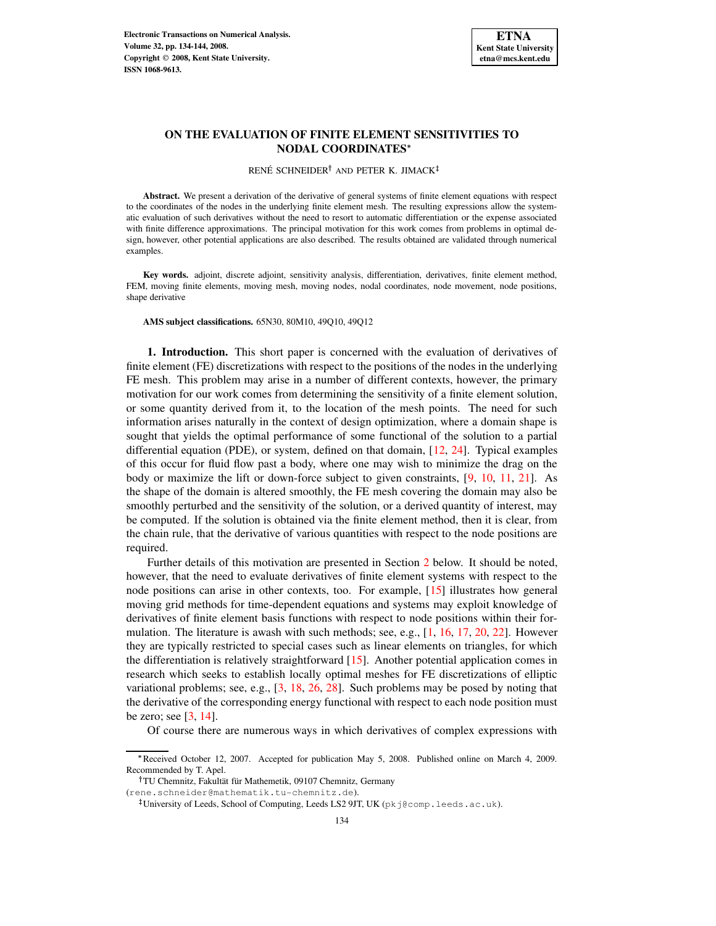

# **ON THE EVALUATION OF FINITE ELEMENT SENSITIVITIES TO NODAL COORDINATES**

RENÉ SCHNEIDER<sup>†</sup> AND PETER K. JIMACK

**Abstract.** We present a derivation of the derivative of general systems of finite element equations with respect to the coordinates of the nodes in the underlying finite element mesh. The resulting expressions allow the systematic evaluation of such derivatives without the need to resort to automatic differentiation or the expense associated with finite difference approximations. The principal motivation for this work comes from problems in optimal design, however, other potential applications are also described. The results obtained are validated through numerical examples.

**Key words.** adjoint, discrete adjoint, sensitivity analysis, differentiation, derivatives, finite element method, FEM, moving finite elements, moving mesh, moving nodes, nodal coordinates, node movement, node positions, shape derivative

**AMS subject classifications.** 65N30, 80M10, 49Q10, 49Q12

<span id="page-0-0"></span>**1. Introduction.** This short paper is concerned with the evaluation of derivatives of finite element (FE) discretizations with respect to the positions of the nodes in the underlying FE mesh. This problem may arise in a number of different contexts, however, the primary motivation for our work comes from determining the sensitivity of a finite element solution, or some quantity derived from it, to the location of the mesh points. The need for such information arises naturally in the context of design optimization, where a domain shape is sought that yields the optimal performance of some functional of the solution to a partial differential equation (PDE), or system, defined on that domain, [\[12,](#page-9-0) [24\]](#page-9-1). Typical examples of this occur for fluid flow past a body, where one may wish to minimize the drag on the body or maximize the lift or down-force subject to given constraints, [\[9,](#page-9-2) [10,](#page-9-3) [11,](#page-9-4) [21\]](#page-9-5). As the shape of the domain is altered smoothly, the FE mesh covering the domain may also be smoothly perturbed and the sensitivity of the solution, or a derived quantity of interest, may be computed. If the solution is obtained via the finite element method, then it is clear, from the chain rule, that the derivative of various quantities with respect to the node positions are required.

Further details of this motivation are presented in Section [2](#page-1-0) below. It should be noted, however, that the need to evaluate derivatives of finite element systems with respect to the node positions can arise in other contexts, too. For example, [\[15\]](#page-9-6) illustrates how general moving grid methods for time-dependent equations and systems may exploit knowledge of derivatives of finite element basis functions with respect to node positions within their formulation. The literature is awash with such methods; see, e.g., [\[1,](#page-9-7) [16,](#page-9-8) [17,](#page-9-9) [20,](#page-9-10) [22\]](#page-9-11). However they are typically restricted to special cases such as linear elements on triangles, for which the differentiation is relatively straightforward [\[15\]](#page-9-6). Another potential application comes in research which seeks to establish locally optimal meshes for FE discretizations of elliptic variational problems; see, e.g., [\[3,](#page-9-12) [18,](#page-9-13) [26,](#page-10-0) [28\]](#page-10-1). Such problems may be posed by noting that the derivative of the corresponding energy functional with respect to each node position must be zero; see [\[3,](#page-9-12) [14\]](#page-9-14).

Of course there are numerous ways in which derivatives of complex expressions with

Received October 12, 2007. Accepted for publication May 5, 2008. Published online on March 4, 2009. Recommended by T. Apel.

TU Chemnitz, Fakultät für Mathemetik, 09107 Chemnitz, Germany

<sup>(</sup>rene.schneider@mathematik.tu-chemnitz.de).

 $^{\ddagger}$ University of Leeds, School of Computing, Leeds LS2 9JT, UK (pkj@comp.leeds.ac.uk).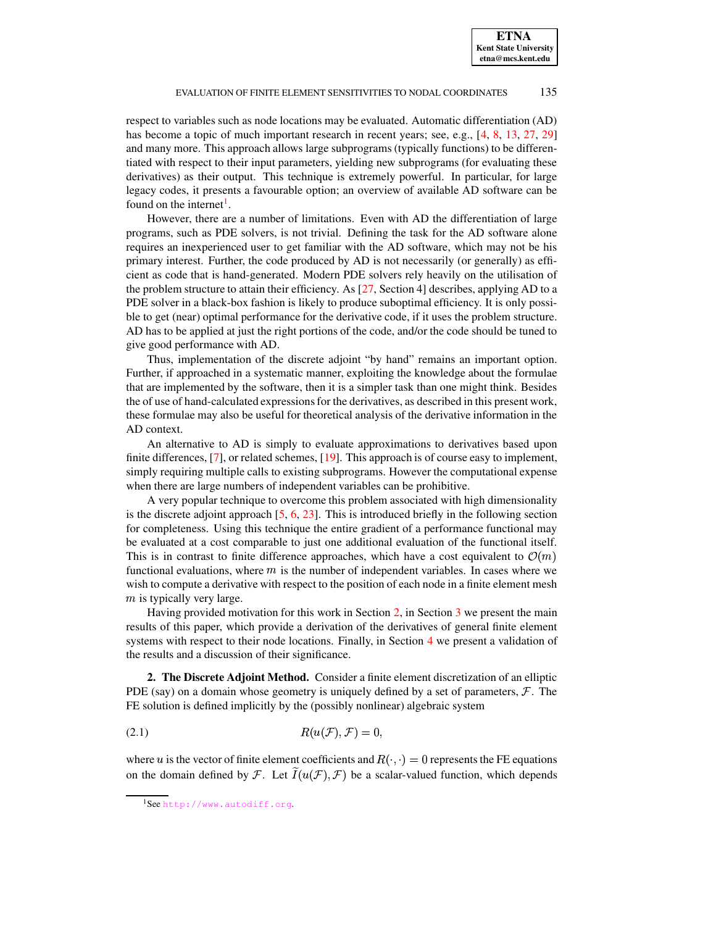respect to variables such as node locations may be evaluated. Automatic differentiation (AD) has become a topic of much important research in recent years; see, e.g., [\[4,](#page-9-15) [8,](#page-9-16) [13,](#page-9-17) [27,](#page-10-2) [29\]](#page-10-3) and many more. This approach allows large subprograms (typically functions) to be differentiated with respect to their input parameters, yielding new subprograms (for evaluating these derivatives) as their output. This technique is extremely powerful. In particular, for large legacy codes, it presents a favourable option; an overview of available AD software can be found on the internet<sup>[1](#page-1-1)</sup>.

However, there are a number of limitations. Even with AD the differentiation of large programs, such as PDE solvers, is not trivial. Defining the task for the AD software alone requires an inexperienced user to get familiar with the AD software, which may not be his primary interest. Further, the code produced by AD is not necessarily (or generally) as efficient as code that is hand-generated. Modern PDE solvers rely heavily on the utilisation of the problem structure to attain their efficiency. As [\[27,](#page-10-2) Section 4] describes, applying AD to a PDE solver in a black-box fashion is likely to produce suboptimal efficiency. It is only possible to get (near) optimal performance for the derivative code, if it uses the problem structure. AD has to be applied at just the right portions of the code, and/or the code should be tuned to give good performance with AD.

Thus, implementation of the discrete adjoint "by hand" remains an important option. Further, if approached in a systematic manner, exploiting the knowledge about the formulae that are implemented by the software, then it is a simpler task than one might think. Besides the of use of hand-calculated expressionsfor the derivatives, as described in this present work, these formulae may also be useful for theoretical analysis of the derivative information in the AD context.

An alternative to AD is simply to evaluate approximations to derivatives based upon finite differences, [\[7\]](#page-9-18), or related schemes, [\[19\]](#page-9-19). This approach is of course easy to implement, simply requiring multiple calls to existing subprograms. However the computational expense when there are large numbers of independent variables can be prohibitive.

A very popular technique to overcome this problem associated with high dimensionality is the discrete adjoint approach [\[5,](#page-9-20) [6,](#page-9-21) [23\]](#page-9-22). This is introduced briefly in the following section for completeness. Using this technique the entire gradient of a performance functional may be evaluated at a cost comparable to just one additional evaluation of the functional itself. This is in contrast to finite difference approaches, which have a cost equivalent to  $\mathcal{O}(m)$ functional evaluations, where  $m$  is the number of independent variables. In cases where we wish to compute a derivative with respect to the position of each node in a finite element mesh  $m$  is typically very large.

Having provided motivation for this work in Section [2,](#page-1-0) in Section [3](#page-3-0) we present the main results of this paper, which provide a derivation of the derivatives of general finite element systems with respect to their node locations. Finally, in Section [4](#page-7-0) we present a validation of the results and a discussion of their significance.

<span id="page-1-0"></span>**2. The Discrete Adjoint Method.** Consider a finite element discretization of an elliptic PDE (say) on a domain whose geometry is uniquely defined by a set of parameters,  $\mathcal{F}$ . The FE solution is defined implicitly by the (possibly nonlinear) algebraic system

$$
(2.1) \t R(u(\mathcal{F}), \mathcal{F}) = 0,
$$

where u is the vector of finite element coefficients and  $R(\cdot, \cdot) = 0$  represents the FE equations on the domain defined by F. Let  $I(u(\mathcal{F}), \mathcal{F})$  be a scalar-valued function, which depends

<span id="page-1-2"></span><span id="page-1-1"></span><sup>1</sup>See <http://www.autodiff.org>.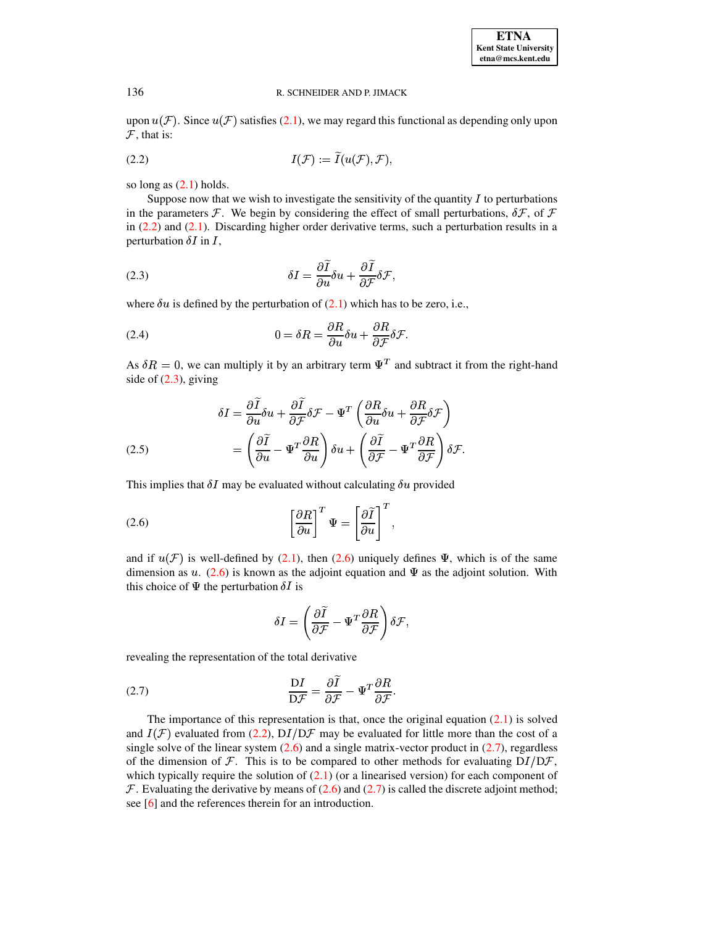| <b>ETNA</b>                  |
|------------------------------|
| <b>Kent State University</b> |
| etna@mcs.kent.edu            |

<span id="page-2-0"></span>upon  $u(F)$ . Since  $u(F)$  satisfies [\(2.1\)](#page-1-2), we may regard this functional as depending only upon  $\mathcal{F}$ , that is:

$$
I(\mathcal{F}) := \widetilde{I}(u(\mathcal{F}), \mathcal{F}),
$$

so long as  $(2.1)$  holds.

Suppose now that we wish to investigate the sensitivity of the quantity  $I$  to perturbations in the parameters  $\mathcal F$ . We begin by considering the effect of small perturbations,  $\delta \mathcal F$ , of  $\mathcal F$ in  $(2.2)$  and  $(2.1)$ . Discarding higher order derivative terms, such a perturbation results in a perturbation  $\delta I$  in  $I$ ,

<span id="page-2-1"></span>(2.3) 
$$
\delta I = \frac{\partial \widetilde{I}}{\partial u} \delta u + \frac{\partial \widetilde{I}}{\partial \mathcal{F}} \delta \mathcal{F},
$$

<span id="page-2-4"></span>where  $\delta u$  is defined by the perturbation of [\(2.1\)](#page-1-2) which has to be zero, i.e.,

(2.4) 
$$
0 = \delta R = \frac{\partial R}{\partial u} \delta u + \frac{\partial R}{\partial \mathcal{F}} \delta \mathcal{F}.
$$

As  $\delta R = 0$ , we can multiply it by an arbitrary term  $\Psi^T$  and subtract it from the right-hand side of  $(2.3)$ , giving

(2.5)  
\n
$$
\delta I = \frac{\partial \tilde{I}}{\partial u} \delta u + \frac{\partial \tilde{I}}{\partial \mathcal{F}} \delta \mathcal{F} - \Psi^T \left( \frac{\partial R}{\partial u} \delta u + \frac{\partial R}{\partial \mathcal{F}} \delta \mathcal{F} \right)
$$
\n
$$
= \left( \frac{\partial \tilde{I}}{\partial u} - \Psi^T \frac{\partial R}{\partial u} \right) \delta u + \left( \frac{\partial \tilde{I}}{\partial \mathcal{F}} - \Psi^T \frac{\partial R}{\partial \mathcal{F}} \right) \delta \mathcal{F}.
$$

This implies that  $\delta I$  may be evaluated without calculating  $\delta u$  provided

(2.6) 
$$
\left[\frac{\partial R}{\partial u}\right]^T \Psi = \left[\frac{\partial \tilde{I}}{\partial u}\right]^T,
$$

and if  $u(\mathcal{F})$  is well-defined by [\(2.1\)](#page-1-2), then [\(2.6\)](#page-2-2) uniquely defines  $\Psi$ , which is of the same dimension as  $u$ . [\(2.6\)](#page-2-2) is known as the adjoint equation and  $\Psi$  as the adjoint solution. With this choice of  $\Psi$  the perturbation  $\delta I$  is

<span id="page-2-3"></span><span id="page-2-2"></span>
$$
\delta I = \left( \frac{\partial \widetilde{I}}{\partial \mathcal{F}} - \Psi^T \frac{\partial R}{\partial \mathcal{F}} \right) \delta \mathcal{F},
$$

 $\mathbb{R}^2$ 

revealing the representation of the total derivative

(2.7) 
$$
\frac{\mathrm{D}I}{\mathrm{D}\mathcal{F}} = \frac{\partial I}{\partial \mathcal{F}} - \Psi^T \frac{\partial R}{\partial \mathcal{F}}.
$$

The importance of this representation is that, once the original equation [\(2.1\)](#page-1-2) is solved and  $I(\mathcal{F})$  evaluated from [\(2.2\)](#page-2-0),  $DI/D\mathcal{F}$  may be evaluated for little more than the cost of a single solve of the linear system  $(2.6)$  and a single matrix-vector product in  $(2.7)$ , regardless of the dimension of  $\mathcal F$ . This is to be compared to other methods for evaluating  $DI/D\mathcal{F}$ , which typically require the solution of  $(2.1)$  (or a linearised version) for each component of  $\mathcal F$ . Evaluating the derivative by means of [\(2.6\)](#page-2-2) and [\(2.7\)](#page-2-3) is called the discrete adjoint method; see [\[6\]](#page-9-21) and the references therein for an introduction.

<sup>3</sup>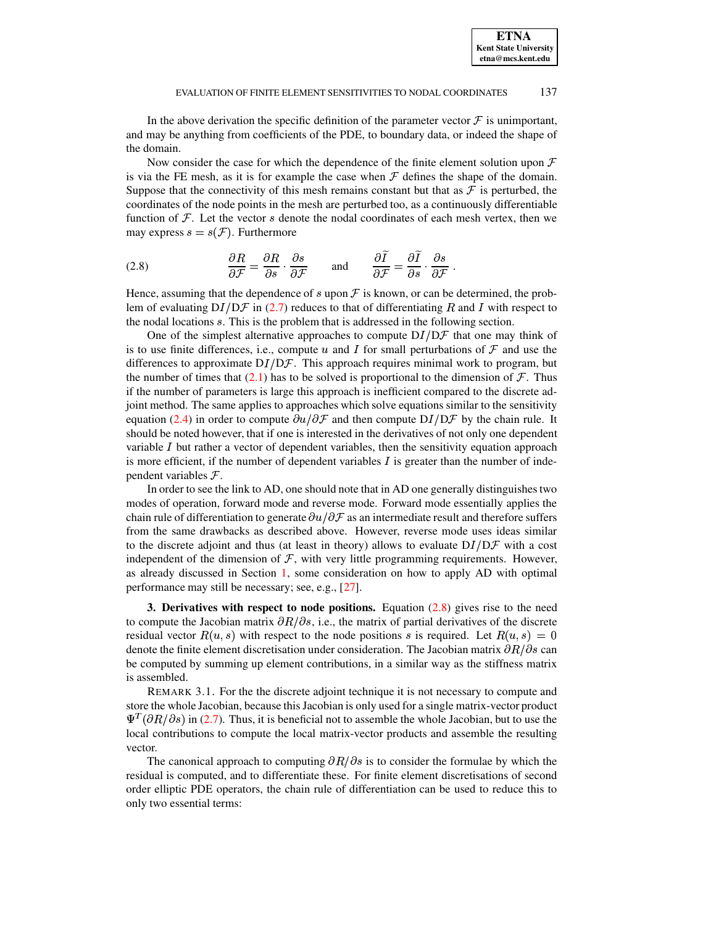In the above derivation the specific definition of the parameter vector  $\mathcal F$  is unimportant, and may be anything from coefficients of the PDE, to boundary data, or indeed the shape of the domain.

Now consider the case for which the dependence of the finite element solution upon  $\mathcal F$ is via the FE mesh, as it is for example the case when  $\mathcal F$  defines the shape of the domain. Suppose that the connectivity of this mesh remains constant but that as  $\mathcal F$  is perturbed, the coordinates of the node points in the mesh are perturbed too, as a continuously differentiable function of  $F$ . Let the vector s denote the nodal coordinates of each mesh vertex, then we may express  $s = s(\mathcal{F})$ . Furthermore

<span id="page-3-1"></span>(2.8) 
$$
\frac{\partial R}{\partial \mathcal{F}} = \frac{\partial R}{\partial s} \cdot \frac{\partial s}{\partial \mathcal{F}} \quad \text{and} \quad \frac{\partial \tilde{I}}{\partial \mathcal{F}} = \frac{\partial \tilde{I}}{\partial s} \cdot \frac{\partial s}{\partial \mathcal{F}}.
$$

Hence, assuming that the dependence of s upon  $\mathcal F$  is known, or can be determined, the problem of evaluating  $DI/DF$  in [\(2.7\)](#page-2-3) reduces to that of differentiating R and I with respect to the nodal locations  $s$ . This is the problem that is addressed in the following section.

One of the simplest alternative approaches to compute  $DI/DF$  that one may think of is to use finite differences, i.e., compute u and I for small perturbations of  $\mathcal F$  and use the differences to approximate  $DI/DF$ . This approach requires minimal work to program, but the number of times that  $(2.1)$  has to be solved is proportional to the dimension of  $\mathcal F$ . Thus if the number of parameters is large this approach is inefficient compared to the discrete adjoint method. The same applies to approaches which solve equations similar to the sensitivity equation [\(2.4\)](#page-2-4) in order to compute  $\partial u/\partial \mathcal{F}$  and then compute  $DI/D\mathcal{F}$  by the chain rule. It should be noted however, that if one is interested in the derivatives of not only one dependent variable  $I$  but rather a vector of dependent variables, then the sensitivity equation approach is more efficient, if the number of dependent variables  $I$  is greater than the number of independent variables  $F$ .

In order to see the link to AD, one should note that in AD one generally distinguishes two modes of operation, forward mode and reverse mode. Forward mode essentially applies the chain rule of differentiation to generate  $\partial u/\partial {\cal F}$  as an intermediate result and therefore suffers from the same drawbacks as described above. However, reverse mode uses ideas similar to the discrete adjoint and thus (at least in theory) allows to evaluate  $DI/DF$  with a cost independent of the dimension of  $F$ , with very little programming requirements. However, as already discussed in Section [1,](#page-0-0) some consideration on how to apply AD with optimal performance may still be necessary; see, e.g., [\[27\]](#page-10-2).

<span id="page-3-0"></span>**3. Derivatives with respect to node positions.** Equation [\(2.8\)](#page-3-1) gives rise to the need to compute the Jacobian matrix  $\partial R/\partial s$ , i.e., the matrix of partial derivatives of the discrete residual vector  $R(u, s)$  with respect to the node positions s is required. Let  $R(u, s) = 0$ denote the finite element discretisation under consideration. The Jacobian matrix  $\partial R/\partial s$  can be computed by summing up element contributions, in a similar way as the stiffness matrix is assembled.

REMARK 3.1. For the the discrete adjoint technique it is not necessary to compute and store the whole Jacobian, because this Jacobian is only used for a single matrix-vector product  $\Psi^{T}(\partial R/\partial s)$  in [\(2.7\)](#page-2-3). Thus, it is beneficial not to assemble the whole Jacobian, but to use the local contributions to compute the local matrix-vector products and assemble the resulting vector.

The canonical approach to computing  $\partial R/\partial s$  is to consider the formulae by which the residual is computed, and to differentiate these. For finite element discretisations of second order elliptic PDE operators, the chain rule of differentiation can be used to reduce this to only two essential terms: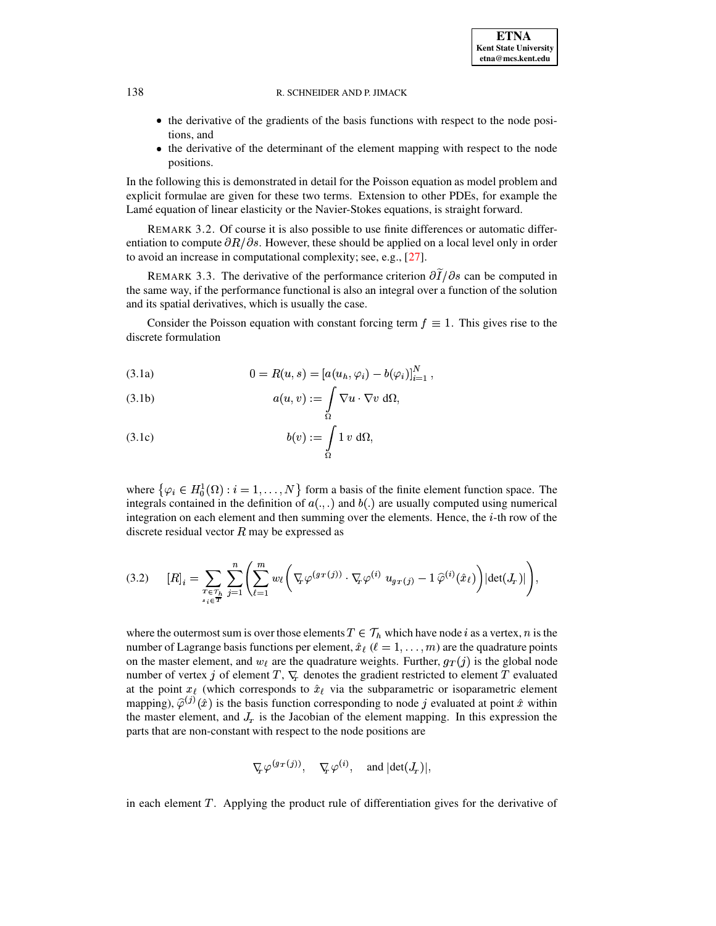- the derivative of the gradients of the basis functions with respect to the node positions, and
- the derivative of the determinant of the element mapping with respect to the node positions.

In the following this is demonstrated in detail for the Poisson equation as model problem and explicit formulae are given for these two terms. Extension to other PDEs, for example the Lamé equation of linear elasticity or the Navier-Stokes equations, is straight forward.

REMARK 3.2. Of course it is also possible to use finite differences or automatic differentiation to compute  $\partial R/\partial s$ . However, these should be applied on a local level only in order to avoid an increase in computational complexity; see, e.g., [\[27\]](#page-10-2).

REMARK 3.3. The derivative of the performance criterion  $\partial I/\partial s$  can be computed in the same way, if the performance functional is also an integral over a function of the solution and its spatial derivatives, which is usually the case.

Consider the Poisson equation with constant forcing term  $f\equiv 1$ . This gives rise to the discrete formulation

(3.1a) 
$$
0 = R(u, s) = [a(u_h, \varphi_i) - b(\varphi_i)]_{i=1}^N,
$$

(3.1b) 
$$
a(u,v) := \int_{\Omega} \nabla u \cdot \nabla v \, d\Omega,
$$

$$
(3.1c) \t b(v) := \int_{\Omega} 1 v \, d\Omega,
$$

where  $\{\varphi_i \in H_0^1(\Omega) : i = 1, \ldots, N\}$  form a basis of the finite element function space. The integrals contained in the definition of  $a(.,.)$  and  $b(.)$  are usually computed using numerical integration on each element and then summing over the elements. Hence, the  $i$ -th row of the discrete residual vector  $R$  may be expressed as

$$
(3.2) \qquad [R]_i = \sum_{\substack{T \in \mathcal{T}_h \\ s_i \in T}} \sum_{j=1}^n \left( \sum_{\ell=1}^m w_\ell \left( \nabla_{\!\!F} \varphi^{(g_T(j))} \cdot \nabla_{\!\!F} \varphi^{(i)} \ u_{g_T(j)} - 1 \, \widehat{\varphi}^{(i)}(\hat{x}_\ell) \right) | \det(J_r)| \right),
$$

where the outermost sum is over those elements  $T \in \mathcal{T}_h$  which have node i as a vertex, n is the number of Lagrange basis functions per element,  $\hat{x}_{\ell}$  ( $\ell = 1, \ldots, m$ ) are the quadrature points on the master element, and  $w_{\ell}$  are the quadrature weights. Further,  $g_T(j)$  is the global node number of vertex j of element  $T, \nabla_{\tau}$  denotes the gradient restricted to element T evaluated at the point  $x_{\ell}$  (which corresponds to  $\hat{x}_{\ell}$  via the subparametric or isoparametric element mapping),  $\hat{\varphi}^{(j)}(\hat{x})$  is the basis function corresponding to node j evaluated at point  $\hat{x}$  within the master element, and  $J_{\tau}$  is the Jacobian of the element mapping. In this expression the parts that are non-constant with respect to the node positions are

$$
\nabla_{\!\!T} \, \varphi^{(g_T\,(j))}, \quad \nabla_{\!\!T} \, \varphi^{(i)}, \quad \text{and } |\text{det}(J_{\!\scriptscriptstyle T})|,
$$

in each element  $T$ . Applying the product rule of differentiation gives for the derivative of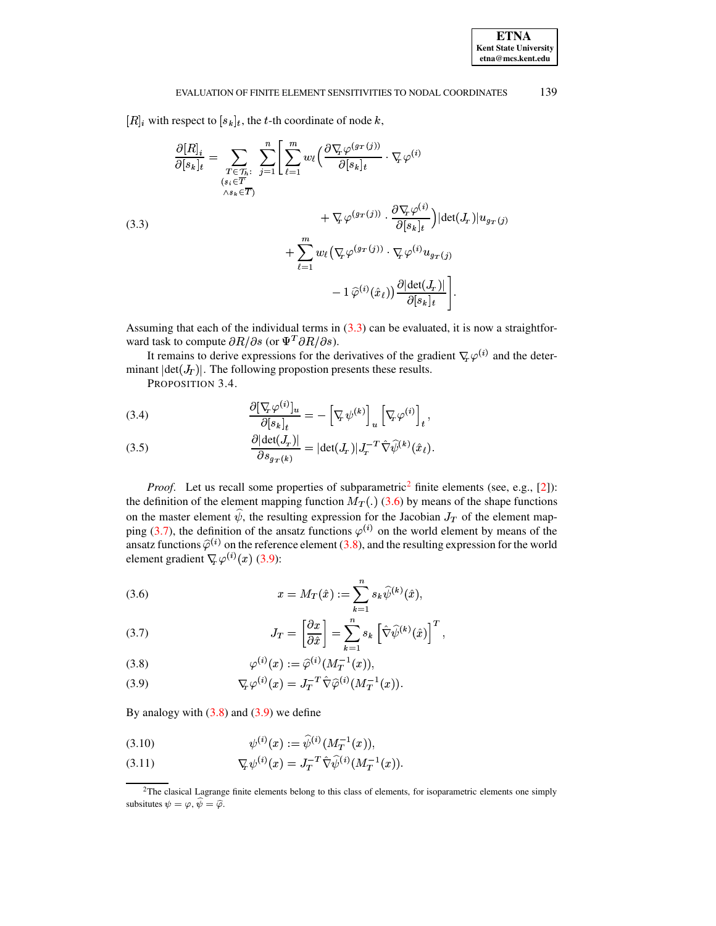#### <span id="page-5-0"></span>EVALUATION OF FINITE ELEMENT SENSITIVITIES TO NODAL COORDINATES 139

 $[R]_i$  with respect to  $[s_k]_t$ , the t-th coordinate of node k,

$$
\frac{\partial [R]_i}{\partial [s_k]_t} = \sum_{\substack{T \in \mathcal{T}_h:\\(s_i \in \overline{T})}} \sum_{j=1}^n \left[ \sum_{\ell=1}^m w_\ell \left( \frac{\partial \nabla_r \varphi^{(gr(j))}}{\partial [s_k]_t} \cdot \nabla_r \varphi^{(i)} \right. \right. \\ \left. + \nabla_r \varphi^{(gr(j))} \cdot \frac{\partial \nabla_r \varphi^{(i)}}{\partial [s_k]_t} \right) | \det(J_T)| u_{gr(j)} \n+ \sum_{\ell=1}^m w_\ell \left( \nabla_r \varphi^{(gr(j))} \cdot \nabla_r \varphi^{(i)} u_{gr(j)} \right. \\ \left. - 1 \hat{\varphi}^{(i)}(\hat{x}_\ell) \right) \frac{\partial |\det(J_T)|}{\partial [s_k]_t} \right].
$$

Assuming that each of the individual terms in  $(3.3)$  can be evaluated, it is now a straightforward task to compute  $\partial R/\partial s$  (or  $\Psi^T \partial R/\partial s$ ).

It remains to derive expressions for the derivatives of the gradient  $\nabla_{\theta} \varphi^{(i)}$  and the determinant  $|\text{det}(J_T)|$ . The following propostion presents these results.

PROPOSITION 3.4.

(3.4) 
$$
\frac{\partial [\nabla_{\!\!x} \varphi^{(i)}]_u}{\partial [s_k]_t} = -[\nabla_{\!\!x} \psi^{(k)}]_u [\nabla_{\!\!x} \varphi^{(i)}]_t,
$$

(3.5) 
$$
\frac{\partial |\det(J_T)|}{\partial s_{gr(k)}} = |\det(J_T)| J_T^{-T} \hat{\nabla} \hat{\psi}^{(k)}(\hat{x}_\ell).
$$

*Proof.* Let us recall some properties of subparametric<sup>2</sup> finite elements (see, e.g., [2]): the definition of the element mapping function  $M_T(.)$  (3.6) by means of the shape functions on the master element  $\hat{\psi}$ , the resulting expression for the Jacobian  $J_T$  of the element mapping (3.7), the definition of the ansatz functions  $\varphi^{(i)}$  on the world element by means of the ansatz functions  $\hat{\varphi}^{(i)}$  on the reference element (3.8), and the resulting expression for the world element gradient  $\nabla_{\!x} \varphi^{(i)}(x)$  (3.9):

<span id="page-5-2"></span>(3.6) 
$$
x = M_T(\hat{x}) := \sum_{k=1}^n s_k \hat{\psi}^{(k)}(\hat{x}),
$$

<span id="page-5-3"></span>(3.7) 
$$
J_T = \left[\frac{\partial x}{\partial \hat{x}}\right] = \sum_{k=1}^n s_k \left[\hat{\nabla}\hat{\psi}^{(k)}(\hat{x})\right]^T,
$$

<span id="page-5-4"></span>(3.8) 
$$
\varphi^{(i)}(x) := \widehat{\varphi}^{(i)}(M_T^{-1}(x)),
$$

<span id="page-5-5"></span>(3.9) 
$$
\nabla_{\!T} \varphi^{(i)}(x) = J_T^{-T} \hat{\nabla} \hat{\varphi}^{(i)}(M_T^{-1}(x)).
$$

By analogy with  $(3.8)$  and  $(3.9)$  we define

(3.10) 
$$
\psi^{(i)}(x) := \widehat{\psi}^{(i)}(M_T^{-1}(x)),
$$

<span id="page-5-6"></span>(3.11) 
$$
\nabla_{\!T} \psi^{(i)}(x) = J_T^{-T} \hat{\nabla} \hat{\psi}^{(i)}(M_T^{-1}(x)).
$$

<span id="page-5-1"></span><sup>&</sup>lt;sup>2</sup>The clasical Lagrange finite elements belong to this class of elements, for isoparametric elements one simply subsitutes  $\psi=\varphi,\widehat{\psi}=\widehat{\varphi}.$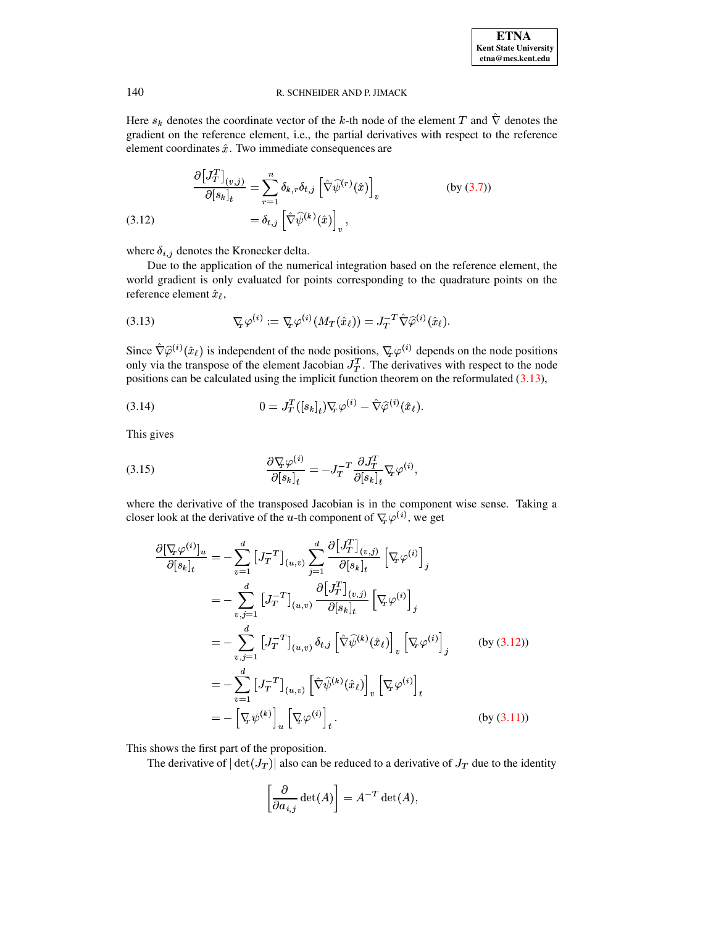Here  $s_k$  denotes the coordinate vector of the k-th node of the element T and  $\hat{\nabla}$  denotes the gradient on the reference element, i.e., the partial derivatives with respect to the reference element coordinates  $\hat{x}$ . Two immediate consequences are

$$
\frac{\partial [J_T^T]_{(v,j)}}{\partial [s_k]_t} = \sum_{r=1}^n \delta_{k,r} \delta_{t,j} \left[ \hat{\nabla} \hat{\psi}^{(r)}(\hat{x}) \right]_v
$$
\n(3.12)

\n
$$
= \delta_{t,j} \left[ \hat{\nabla} \hat{\psi}^{(k)}(\hat{x}) \right]_v,
$$

<span id="page-6-1"></span>where  $\delta_{i,j}$  denotes the Kronecker delta.

<span id="page-6-0"></span>Due to the application of the numerical integration based on the reference element, the world gradient is only evaluated for points corresponding to the quadrature points on the reference element  $\hat{x}_\ell$ ,

(3.13) 
$$
\nabla_{\!\!F} \varphi^{(i)} := \nabla_{\!\!F} \varphi^{(i)}(M_T(\hat{x}_\ell)) = J_T^{-T} \hat{\nabla} \hat{\varphi}^{(i)}(\hat{x}_\ell).
$$

Since  $\hat{\nabla}\hat{\varphi}^{(i)}(\hat{x}_\ell)$  is independent of the node positions,  $\nabla_{\!x}\varphi^{(i)}$  depends on the node positions only via the transpose of the element Jacobian  $J_T^T$ . The derivatives with respect to the node positions can be calculated using the implicit function theorem on the reformulated (3.13),

(3.14) 
$$
0 = J_T^T([s_k]_t) \nabla_{\!T} \varphi^{(i)} - \hat{\nabla} \hat{\varphi}^{(i)}(\hat{x}_\ell).
$$

This gives

(3.15) 
$$
\frac{\partial \nabla_{\!T} \varphi^{(i)}}{\partial [s_k]_t} = -J_T^{-T} \frac{\partial J_T^T}{\partial [s_k]_t} \nabla_{\!T} \varphi^{(i)},
$$

where the derivative of the transposed Jacobian is in the component wise sense. Taking a closer look at the derivative of the u-th component of  $\nabla_{\!x} \varphi^{(i)}$ , we get

$$
\frac{\partial[\nabla_{\!\!F}\varphi^{(i)}]_u}{\partial[s_k]_t} = -\sum_{v=1}^d \left[J_T^{-T}\right]_{(u,v)} \sum_{j=1}^d \frac{\partial\left[J_T^T\right]_{(v,j)}}{\partial[s_k]_t} \left[\nabla_{\!\!F}\varphi^{(i)}\right]_j
$$
\n
$$
= -\sum_{v,j=1}^d \left[J_T^{-T}\right]_{(u,v)} \frac{\partial\left[J_T^T\right]_{(v,j)}}{\partial[s_k]_t} \left[\nabla_{\!\!F}\varphi^{(i)}\right]_j
$$
\n
$$
= -\sum_{v,j=1}^d \left[J_T^{-T}\right]_{(u,v)} \delta_{t,j} \left[\hat{\nabla}\hat{\psi}^{(k)}(\hat{x}_t)\right]_v \left[\nabla_{\!\!F}\varphi^{(i)}\right]_j \qquad \text{(by (3.12))}
$$
\n
$$
= -\sum_{v=1}^d \left[J_T^{-T}\right]_{(u,v)} \left[\hat{\nabla}\hat{\psi}^{(k)}(\hat{x}_t)\right]_v \left[\nabla_{\!\!F}\varphi^{(i)}\right]_t
$$
\n
$$
= -\left[\nabla_{\!\!F}\psi^{(k)}\right]_u \left[\nabla_{\!\!F}\varphi^{(i)}\right]_t \qquad \text{(by (3.11))}
$$

This shows the first part of the proposition.

The derivative of  $|\det(J_T)|$  also can be reduced to a derivative of  $J_T$  due to the identity

$$
\left[\frac{\partial}{\partial a_{i,j}} \det(A)\right] = A^{-T} \det(A),
$$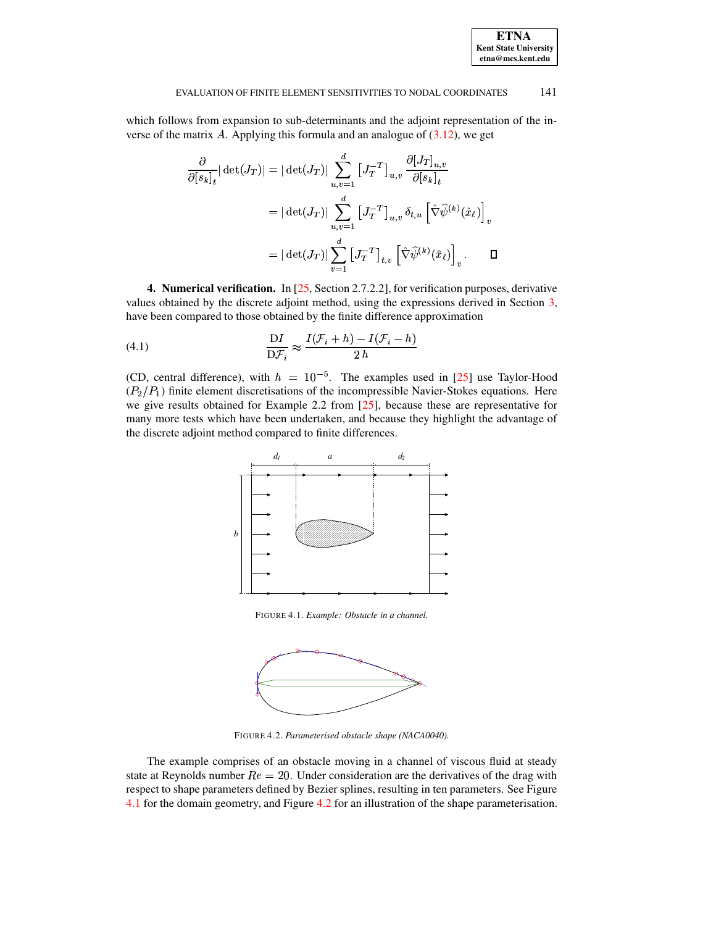**ETNA Kent State University etna@mcs.kent.edu**

which follows from expansion to sub-determinants and the adjoint representation of the inverse of the matrix  $\vec{A}$ . Applying this formula and an analogue of [\(3.12\)](#page-6-1), we get

$$
\frac{\partial}{\partial [s_k]_t} |\det(J_T)| = |\det(J_T)| \sum_{u,v=1}^d [J_T^{-T}]_{u,v} \frac{\partial [J_T]_{u,v}}{\partial [s_k]_t}
$$

$$
= |\det(J_T)| \sum_{u,v=1}^d [J_T^{-T}]_{u,v} \delta_{t,u} [\hat{\nabla} \hat{\psi}^{(k)}(\hat{x}_\ell)]_v
$$

$$
= |\det(J_T)| \sum_{v=1}^d [J_T^{-T}]_{t,v} [\hat{\nabla} \hat{\psi}^{(k)}(\hat{x}_\ell)]_v . \qquad \Box
$$

<span id="page-7-0"></span>**4. Numerical verification.** In [\[25,](#page-10-4) Section 2.7.2.2], for verification purposes, derivative values obtained by the discrete adjoint method, using the expressions derived in Section [3,](#page-3-0) have been compared to those obtained by the finite difference approximation

(4.1) 
$$
\frac{\mathrm{D}I}{\mathrm{D}\mathcal{F}_i} \approx \frac{I(\mathcal{F}_i + h) - I(\mathcal{F}_i - h)}{2h}
$$

(CD, central difference), with  $h = 10^{-5}$ . The examples used in [\[25\]](#page-10-4) use Taylor-Hood  $(P_2/P_1)$  finite element discretisations of the incompressible Navier-Stokes equations. Here we give results obtained for Example 2.2 from [\[25\]](#page-10-4), because these are representative for many more tests which have been undertaken, and because they highlight the advantage of the discrete adjoint method compared to finite differences.

<span id="page-7-3"></span>

FIGURE 4.1. *Example: Obstacle in a channel.*

<span id="page-7-1"></span>

<span id="page-7-2"></span>FIGURE 4.2. *Parameterised obstacle shape (NACA0040).*

The example comprises of an obstacle moving in a channel of viscous fluid at steady state at Reynolds number  $Re = 20$ . Under consideration are the derivatives of the drag with respect to shape parameters defined by Bezier splines, resulting in ten parameters. See Figure [4.1](#page-7-1) for the domain geometry, and Figure [4.2](#page-7-2) for an illustration of the shape parameterisation.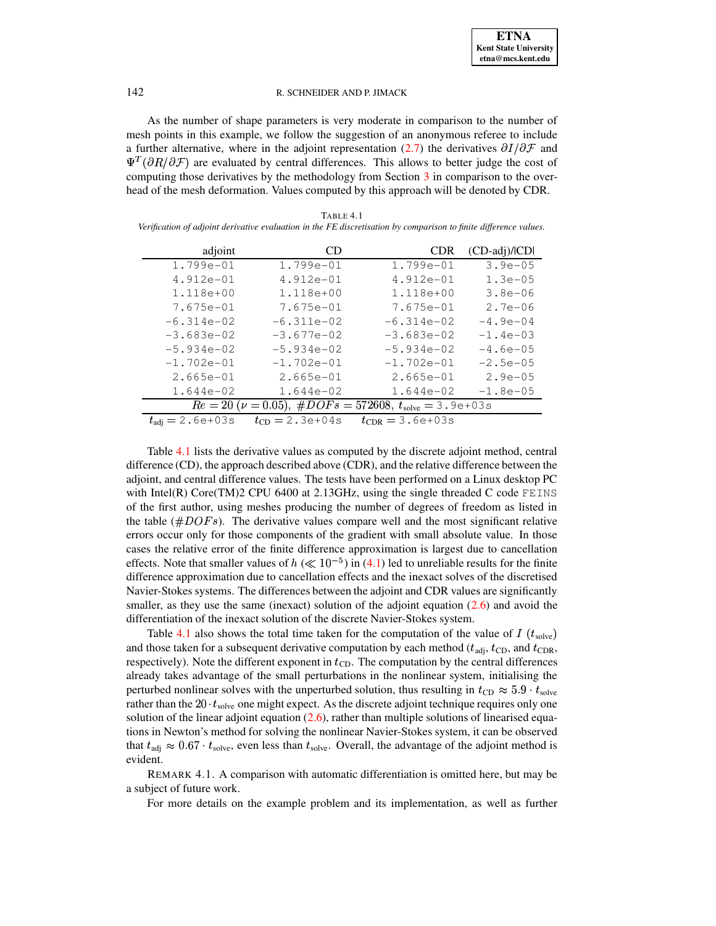As the number of shape parameters is very moderate in comparison to the number of mesh points in this example, we follow the suggestion of an anonymous referee to include a further alternative, where in the adjoint representation (2.7) the derivatives  $\partial I/\partial \mathcal{F}$  and  $\Psi^T(\partial R/\partial \mathcal{F})$  are evaluated by central differences. This allows to better judge the cost of computing those derivatives by the methodology from Section  $\overline{3}$  in comparison to the overhead of the mesh deformation. Values computed by this approach will be denoted by CDR.

| TABLE 4.1                                                                                                         |  |
|-------------------------------------------------------------------------------------------------------------------|--|
| Verification of adjoint derivative evaluation in the FE discretisation by comparison to finite difference values. |  |

<span id="page-8-0"></span>

| adjoint                                                                                          | CD.                     | <b>CDR</b>           | $(CD$ -adj $)/ CD $ |  |
|--------------------------------------------------------------------------------------------------|-------------------------|----------------------|---------------------|--|
| $1.799e - 01$                                                                                    | 1.799e-01               | 1.799e-01            | $3.9e - 05$         |  |
| $4.912e-01$                                                                                      | 4.912e-01               | $4.912e-01$          | $1.3e-05$           |  |
| 1.118e+00                                                                                        | 1.118e+00               | 1.118e+00            | $3.8e - 06$         |  |
| 7.675e-01                                                                                        | 7.675e-01               | 7.675e-01            | $2.7e - 06$         |  |
| $-6.314e-02$                                                                                     | $-6.311e-02$            | $-6.314e-02$         | $-4.9e-04$          |  |
| $-3.683e-02$                                                                                     | $-3.677e-02$            | $-3.683e-02$         | $-1.4e-03$          |  |
| $-5.934e-02$                                                                                     | $-5.934e-02$            | $-5.934e-02$         | $-4.6e - 05$        |  |
| $-1.702e-01$                                                                                     | $-1.702e-01$            | $-1.702e-01$         | $-2.5e-05$          |  |
| $2.665e - 01$                                                                                    | $2.665e - 01$           | $2.665e - 01$        | $2.9e - 05$         |  |
| 1.644e-02                                                                                        | 1.644e-02               | $1.644e-02$          | $-1.8e-05$          |  |
| $Re = 20 \; (\nu = 0.05), \; \#DOFs = 572608, \; t_{\text{solve}} = 3.9 \text{e} + 03 \text{ s}$ |                         |                      |                     |  |
| $t_{\text{adj}} = 2.6e+03s$                                                                      | $t_{\rm CD} = 2.3e+04s$ | $t_{CDR} = 3.6e+03s$ |                     |  |

Table 4.1 lists the derivative values as computed by the discrete adjoint method, central difference (CD), the approach described above (CDR), and the relative difference between the adjoint, and central difference values. The tests have been performed on a Linux desktop PC with Intel(R) Core(TM)2 CPU 6400 at 2.13GHz, using the single threaded C code FEINS of the first author, using meshes producing the number of degrees of freedom as listed in the table  $(\#DOFs)$ . The derivative values compare well and the most significant relative errors occur only for those components of the gradient with small absolute value. In those cases the relative error of the finite difference approximation is largest due to cancellation effects. Note that smaller values of  $h \ll 10^{-5}$  in (4.1) led to unreliable results for the finite difference approximation due to cancellation effects and the inexact solves of the discretised Navier-Stokes systems. The differences between the adjoint and CDR values are significantly smaller, as they use the same (inexact) solution of the adjoint equation  $(2.6)$  and avoid the differentiation of the inexact solution of the discrete Navier-Stokes system.

Table 4.1 also shows the total time taken for the computation of the value of I ( $t_{\text{solve}}$ ) and those taken for a subsequent derivative computation by each method ( $t_{\text{adj}}$ ,  $t_{\text{CD}}$ , and  $t_{\text{CDR}}$ , respectively). Note the different exponent in  $t_{\text{CD}}$ . The computation by the central differences already takes advantage of the small perturbations in the nonlinear system, initialising the perturbed nonlinear solves with the unperturbed solution, thus resulting in  $t_{CD} \approx 5.9 \cdot t_{\text{solve}}$ rather than the  $20 \cdot t_{\text{solve}}$  one might expect. As the discrete adjoint technique requires only one solution of the linear adjoint equation  $(2.6)$ , rather than multiple solutions of linearised equations in Newton's method for solving the nonlinear Navier-Stokes system, it can be observed that  $t_{\text{adj}} \approx 0.67 \cdot t_{\text{solve}}$ , even less than  $t_{\text{solve}}$ . Overall, the advantage of the adjoint method is evident.

REMARK 4.1. A comparison with automatic differentiation is omitted here, but may be a subject of future work.

For more details on the example problem and its implementation, as well as further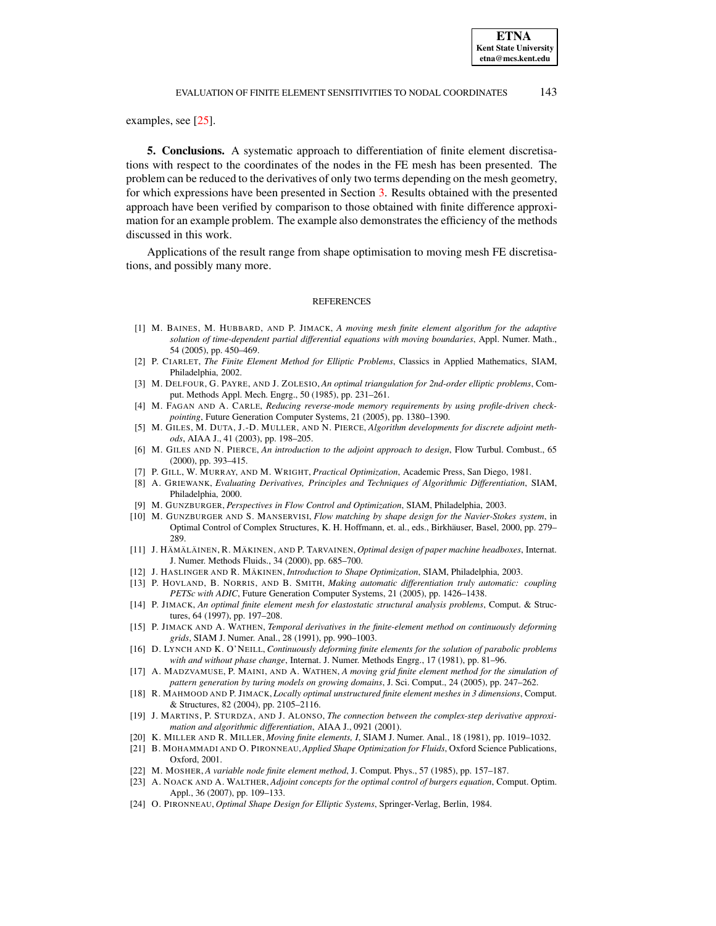#### EVALUATION OF FINITE ELEMENT SENSITIVITIES TO NODAL COORDINATES 143

examples, see [\[25\]](#page-10-4).

**5. Conclusions.** A systematic approach to differentiation of finite element discretisations with respect to the coordinates of the nodes in the FE mesh has been presented. The problem can be reduced to the derivatives of only two terms depending on the mesh geometry, for which expressions have been presented in Section [3.](#page-3-0) Results obtained with the presented approach have been verified by comparison to those obtained with finite difference approximation for an example problem. The example also demonstrates the efficiency of the methods discussed in this work.

Applications of the result range from shape optimisation to moving mesh FE discretisations, and possibly many more.

#### **REFERENCES**

- <span id="page-9-7"></span>[1] M. BAINES, M. HUBBARD, AND P. JIMACK, *A moving mesh finite element algorithm for the adaptive solution of time-dependent partial differential equations with moving boundaries*, Appl. Numer. Math., 54 (2005), pp. 450–469.
- <span id="page-9-23"></span>[2] P. CIARLET, *The Finite Element Method for Elliptic Problems*, Classics in Applied Mathematics, SIAM, Philadelphia, 2002.
- <span id="page-9-15"></span><span id="page-9-12"></span>[3] M. DELFOUR, G. PAYRE, AND J. ZOLESIO, *An optimal triangulation for 2nd-order elliptic problems*, Comput. Methods Appl. Mech. Engrg., 50 (1985), pp. 231–261.
- [4] M. FAGAN AND A. CARLE, *Reducing reverse-mode memory requirements by using profile-driven checkpointing*, Future Generation Computer Systems, 21 (2005), pp. 1380–1390.
- <span id="page-9-20"></span>[5] M. GILES, M. DUTA, J.-D. MULLER, AND N. PIERCE, *Algorithm developments for discrete adjoint methods*, AIAA J., 41 (2003), pp. 198–205.
- <span id="page-9-21"></span>[6] M. GILES AND N. PIERCE, *An introduction to the adjoint approach to design*, Flow Turbul. Combust., 65 (2000), pp. 393–415.
- <span id="page-9-18"></span><span id="page-9-16"></span>[7] P. GILL, W. MURRAY, AND M. WRIGHT, *Practical Optimization*, Academic Press, San Diego, 1981.
- [8] A. GRIEWANK, *Evaluating Derivatives, Principles and Techniques of Algorithmic Differentiation*, SIAM, Philadelphia, 2000.
- <span id="page-9-2"></span>[9] M. GUNZBURGER, *Perspectives in Flow Control and Optimization*, SIAM, Philadelphia, 2003.
- <span id="page-9-3"></span>[10] M. GUNZBURGER AND S. MANSERVISI, *Flow matching by shape design for the Navier-Stokes system*, in Optimal Control of Complex Structures, K. H. Hoffmann, et. al., eds., Birkhäuser, Basel, 2000, pp. 279– 289.
- <span id="page-9-4"></span>[11] J. HÄMÄLÄINEN, R. MÄKINEN, AND P. TARVAINEN, *Optimal design of paper machine headboxes*, Internat. J. Numer. Methods Fluids., 34 (2000), pp. 685–700.
- <span id="page-9-17"></span><span id="page-9-0"></span>[12] J. HASLINGER AND R. MÄKINEN, *Introduction to Shape Optimization*, SIAM, Philadelphia, 2003.
- [13] P. HOVLAND, B. NORRIS, AND B. SMITH, *Making automatic differentiation truly automatic: coupling PETSc with ADIC*, Future Generation Computer Systems, 21 (2005), pp. 1426–1438.
- <span id="page-9-14"></span>[14] P. JIMACK, *An optimal finite element mesh for elastostatic structural analysis problems*, Comput. & Structures, 64 (1997), pp. 197–208.
- <span id="page-9-6"></span>[15] P. JIMACK AND A. WATHEN, *Temporal derivatives in the finite-element method on continuously deforming grids*, SIAM J. Numer. Anal., 28 (1991), pp. 990–1003.
- <span id="page-9-8"></span>[16] D. LYNCH AND K. O'NEILL, *Continuously deforming finite elements for the solution of parabolic problems with and without phase change*, Internat. J. Numer. Methods Engrg., 17 (1981), pp. 81–96.
- <span id="page-9-9"></span>[17] A. MADZVAMUSE, P. MAINI, AND A. WATHEN, *A moving grid finite element method for the simulation of pattern generation by turing models on growing domains*, J. Sci. Comput., 24 (2005), pp. 247–262.
- <span id="page-9-19"></span><span id="page-9-13"></span>[18] R. MAHMOOD AND P. JIMACK, *Locally optimal unstructured finite element meshes in 3 dimensions*, Comput. & Structures, 82 (2004), pp. 2105–2116.
- [19] J. MARTINS, P. STURDZA, AND J. ALONSO, *The connection between the complex-step derivative approximation and algorithmic differentiation*, AIAA J., 0921 (2001).
- <span id="page-9-10"></span><span id="page-9-5"></span>[20] K. MILLER AND R. MILLER, *Moving finite elements, I*, SIAM J. Numer. Anal., 18 (1981), pp. 1019–1032.
- [21] B. MOHAMMADI AND O. PIRONNEAU,*Applied Shape Optimization for Fluids*, Oxford Science Publications, Oxford, 2001.
- <span id="page-9-22"></span><span id="page-9-11"></span>[22] M. MOSHER, *A variable node finite element method*, J. Comput. Phys., 57 (1985), pp. 157–187.
- [23] A. NOACK AND A. WALTHER, *Adjoint concepts for the optimal control of burgers equation*, Comput. Optim. Appl., 36 (2007), pp. 109–133.
- <span id="page-9-1"></span>[24] O. PIRONNEAU, *Optimal Shape Design for Elliptic Systems*, Springer-Verlag, Berlin, 1984.